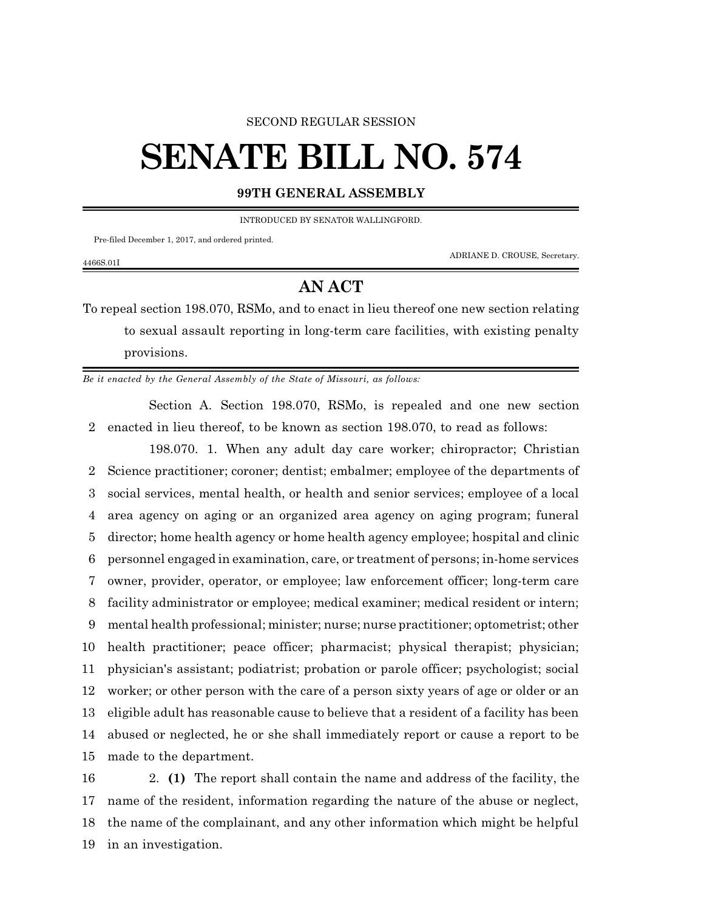## SECOND REGULAR SESSION

## **SENATE BILL NO. 574**

## **99TH GENERAL ASSEMBLY**

INTRODUCED BY SENATOR WALLINGFORD.

Pre-filed December 1, 2017, and ordered printed.

4466S.01I

ADRIANE D. CROUSE, Secretary.

## **AN ACT**

To repeal section 198.070, RSMo, and to enact in lieu thereof one new section relating to sexual assault reporting in long-term care facilities, with existing penalty provisions.

*Be it enacted by the General Assembly of the State of Missouri, as follows:*

Section A. Section 198.070, RSMo, is repealed and one new section 2 enacted in lieu thereof, to be known as section 198.070, to read as follows:

198.070. 1. When any adult day care worker; chiropractor; Christian Science practitioner; coroner; dentist; embalmer; employee of the departments of social services, mental health, or health and senior services; employee of a local area agency on aging or an organized area agency on aging program; funeral director; home health agency or home health agency employee; hospital and clinic personnel engaged in examination, care, or treatment of persons; in-home services owner, provider, operator, or employee; law enforcement officer; long-term care facility administrator or employee; medical examiner; medical resident or intern; mental health professional; minister; nurse; nurse practitioner; optometrist; other health practitioner; peace officer; pharmacist; physical therapist; physician; physician's assistant; podiatrist; probation or parole officer; psychologist; social worker; or other person with the care of a person sixty years of age or older or an eligible adult has reasonable cause to believe that a resident of a facility has been abused or neglected, he or she shall immediately report or cause a report to be made to the department.

 2. **(1)** The report shall contain the name and address of the facility, the name of the resident, information regarding the nature of the abuse or neglect, the name of the complainant, and any other information which might be helpful in an investigation.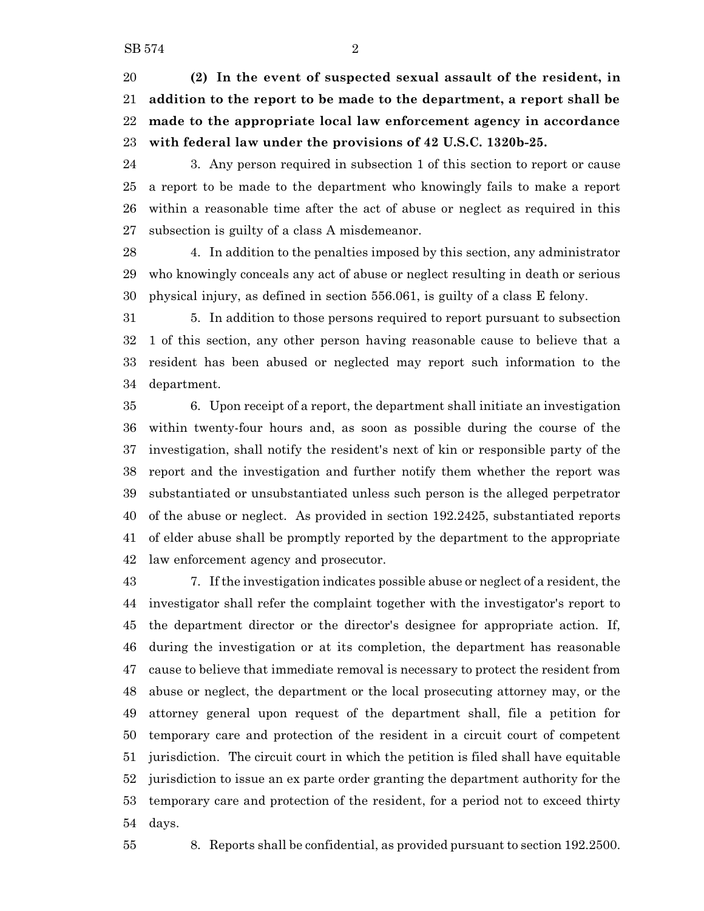**(2) In the event of suspected sexual assault of the resident, in addition to the report to be made to the department, a report shall be made to the appropriate local law enforcement agency in accordance with federal law under the provisions of 42 U.S.C. 1320b-25.**

 3. Any person required in subsection 1 of this section to report or cause a report to be made to the department who knowingly fails to make a report within a reasonable time after the act of abuse or neglect as required in this subsection is guilty of a class A misdemeanor.

 4. In addition to the penalties imposed by this section, any administrator who knowingly conceals any act of abuse or neglect resulting in death or serious physical injury, as defined in section 556.061, is guilty of a class E felony.

 5. In addition to those persons required to report pursuant to subsection 1 of this section, any other person having reasonable cause to believe that a resident has been abused or neglected may report such information to the department.

 6. Upon receipt of a report, the department shall initiate an investigation within twenty-four hours and, as soon as possible during the course of the investigation, shall notify the resident's next of kin or responsible party of the report and the investigation and further notify them whether the report was substantiated or unsubstantiated unless such person is the alleged perpetrator of the abuse or neglect. As provided in section 192.2425, substantiated reports of elder abuse shall be promptly reported by the department to the appropriate law enforcement agency and prosecutor.

 7. If the investigation indicates possible abuse or neglect of a resident, the investigator shall refer the complaint together with the investigator's report to the department director or the director's designee for appropriate action. If, during the investigation or at its completion, the department has reasonable cause to believe that immediate removal is necessary to protect the resident from abuse or neglect, the department or the local prosecuting attorney may, or the attorney general upon request of the department shall, file a petition for temporary care and protection of the resident in a circuit court of competent jurisdiction. The circuit court in which the petition is filed shall have equitable jurisdiction to issue an ex parte order granting the department authority for the temporary care and protection of the resident, for a period not to exceed thirty days.

8. Reports shall be confidential, as provided pursuant to section 192.2500.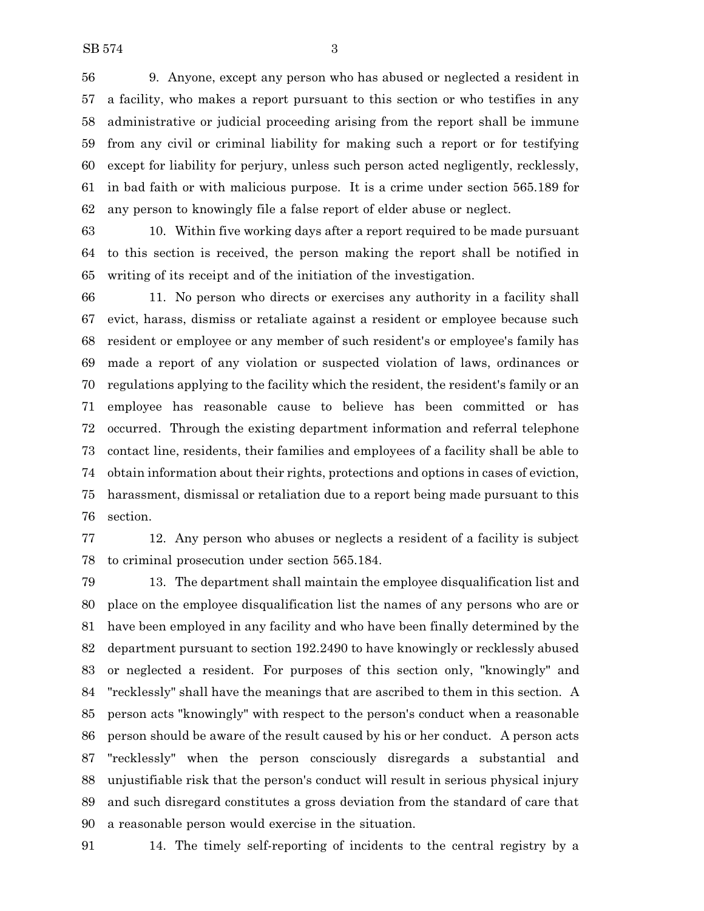9. Anyone, except any person who has abused or neglected a resident in a facility, who makes a report pursuant to this section or who testifies in any administrative or judicial proceeding arising from the report shall be immune from any civil or criminal liability for making such a report or for testifying except for liability for perjury, unless such person acted negligently, recklessly, in bad faith or with malicious purpose. It is a crime under section 565.189 for any person to knowingly file a false report of elder abuse or neglect.

 10. Within five working days after a report required to be made pursuant to this section is received, the person making the report shall be notified in writing of its receipt and of the initiation of the investigation.

 11. No person who directs or exercises any authority in a facility shall evict, harass, dismiss or retaliate against a resident or employee because such resident or employee or any member of such resident's or employee's family has made a report of any violation or suspected violation of laws, ordinances or regulations applying to the facility which the resident, the resident's family or an employee has reasonable cause to believe has been committed or has occurred. Through the existing department information and referral telephone contact line, residents, their families and employees of a facility shall be able to obtain information about their rights, protections and options in cases of eviction, harassment, dismissal or retaliation due to a report being made pursuant to this section.

 12. Any person who abuses or neglects a resident of a facility is subject to criminal prosecution under section 565.184.

 13. The department shall maintain the employee disqualification list and place on the employee disqualification list the names of any persons who are or have been employed in any facility and who have been finally determined by the department pursuant to section 192.2490 to have knowingly or recklessly abused or neglected a resident. For purposes of this section only, "knowingly" and "recklessly" shall have the meanings that are ascribed to them in this section. A person acts "knowingly" with respect to the person's conduct when a reasonable person should be aware of the result caused by his or her conduct. A person acts "recklessly" when the person consciously disregards a substantial and unjustifiable risk that the person's conduct will result in serious physical injury and such disregard constitutes a gross deviation from the standard of care that a reasonable person would exercise in the situation.

14. The timely self-reporting of incidents to the central registry by a